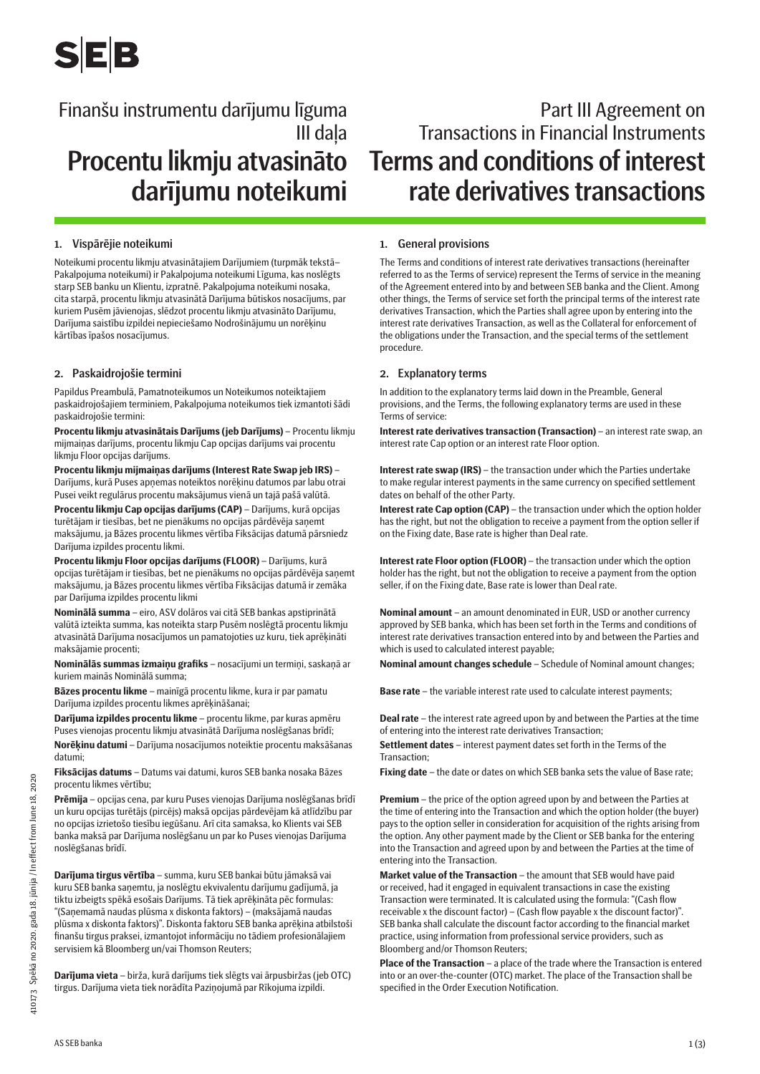# **SEB**

## Finanšu instrumentu darījumu līguma III daļa darījumu noteikumi

### Procentu likmju atvasināto Terms and conditions of interest Part III Agreement on Transactions in Financial Instruments rate derivatives transactions

#### 1. Vispārējie noteikumi

Noteikumi procentu likmju atvasinātajiem Darījumiem (turpmāk tekstā– Pakalpojuma noteikumi) ir Pakalpojuma noteikumi Līguma, kas noslēgts starp SEB banku un Klientu, izpratnē. Pakalpojuma noteikumi nosaka, cita starpā, procentu likmju atvasinātā Darījuma būtiskos nosacījums, par kuriem Pusēm jāvienojas, slēdzot procentu likmju atvasināto Darījumu, Darījuma saistību izpildei nepieciešamo Nodrošinājumu un norēķinu kārtības īpašos nosacījumus.

#### 2. Paskaidrojošie termini

Papildus Preambulā, Pamatnoteikumos un Noteikumos noteiktajiem paskaidrojošajiem terminiem, Pakalpojuma noteikumos tiek izmantoti šādi paskaidrojošie termini:

**Procentu likmju atvasinātais Darījums (jeb Darījums)** – Procentu likmju mijmaiņas darījums, procentu likmju Cap opcijas darījums vai procentu likmju Floor opcijas darījums.

**Procentu likmju mijmaiņas darījums (Interest Rate Swap jeb IRS)** – Darījums, kurā Puses apņemas noteiktos norēķinu datumos par labu otrai Pusei veikt regulārus procentu maksājumus vienā un tajā pašā valūtā.

**Procentu likmju Cap opcijas darījums (CAP)** – Darījums, kurā opcijas turētājam ir tiesības, bet ne pienākums no opcijas pārdēvēja saņemt maksājumu, ja Bāzes procentu likmes vērtība Fiksācijas datumā pārsniedz Darījuma izpildes procentu likmi.

**Procentu likmju Floor opcijas darījums (FLOOR)** – Darījums, kurā opcijas turētājam ir tiesības, bet ne pienākums no opcijas pārdēvēja saņemt maksājumu, ja Bāzes procentu likmes vērtība Fiksācijas datumā ir zemāka par Darījuma izpildes procentu likmi

**Nominālā summa** – eiro, ASV dolāros vai citā SEB bankas apstiprinātā valūtā izteikta summa, kas noteikta starp Pusēm noslēgtā procentu likmju atvasinātā Darījuma nosacījumos un pamatojoties uz kuru, tiek aprēķināti maksājamie procenti;

**Nominālās summas izmaiņu grafiks** – nosacījumi un termiņi, saskaņā ar kuriem mainās Nominālā summa;

**Bāzes procentu likme** – mainīgā procentu likme, kura ir par pamatu Darījuma izpildes procentu likmes aprēķināšanai;

**Darījuma izpildes procentu likme** – procentu likme, par kuras apmēru Puses vienojas procentu likmju atvasinātā Darījuma noslēgšanas brīdī; **Norēķinu datumi** – Darījuma nosacījumos noteiktie procentu maksāšanas

datumi;

**Fiksācijas datums** – Datums vai datumi, kuros SEB banka nosaka Bāzes procentu likmes vērtību;

**Prēmija** – opcijas cena, par kuru Puses vienojas Darījuma noslēgšanas brīdī un kuru opcijas turētājs (pircējs) maksā opcijas pārdevējam kā atlīdzību par no opcijas izrietošo tiesību iegūšanu. Arī cita samaksa, ko Klients vai SEB banka maksā par Darījuma noslēgšanu un par ko Puses vienojas Darījuma noslēgšanas brīdī.

**Darījuma tirgus vērtība** – summa, kuru SEB bankai būtu jāmaksā vai kuru SEB banka saņemtu, ja noslēgtu ekvivalentu darījumu gadījumā, ja tiktu izbeigts spēkā esošais Darījums. Tā tiek aprēķināta pēc formulas: "(Saņemamā naudas plūsma x diskonta faktors) – (maksājamā naudas plūsma x diskonta faktors)". Diskonta faktoru SEB banka aprēķina atbilstoši finanšu tirgus praksei, izmantojot informāciju no tādiem profesionālajiem servisiem kā Bloomberg un/vai Thomson Reuters;

**Darījuma vieta** – birža, kurā darījums tiek slēgts vai ārpusbiržas (jeb OTC) tirgus. Darījuma vieta tiek norādīta Paziņojumā par Rīkojuma izpildi.

#### 1. General provisions

The Terms and conditions of interest rate derivatives transactions (hereinafter referred to as the Terms of service) represent the Terms of service in the meaning of the Agreement entered into by and between SEB banka and the Client. Among other things, the Terms of service set forth the principal terms of the interest rate derivatives Transaction, which the Parties shall agree upon by entering into the interest rate derivatives Transaction, as well as the Collateral for enforcement of the obligations under the Transaction, and the special terms of the settlement procedure.

#### 2. Explanatory terms

In addition to the explanatory terms laid down in the Preamble, General provisions, and the Terms, the following explanatory terms are used in these Terms of service:

**Interest rate derivatives transaction (Transaction)** – an interest rate swap, an interest rate Cap option or an interest rate Floor option.

**Interest rate swap (IRS)** – the transaction under which the Parties undertake to make regular interest payments in the same currency on specified settlement dates on behalf of the other Party.

**Interest rate Cap option (CAP)** – the transaction under which the option holder has the right, but not the obligation to receive a payment from the option seller if on the Fixing date, Base rate is higher than Deal rate.

**Interest rate Floor option (FLOOR)** – the transaction under which the option holder has the right, but not the obligation to receive a payment from the option seller, if on the Fixing date, Base rate is lower than Deal rate.

**Nominal amount** – an amount denominated in EUR, USD or another currency approved by SEB banka, which has been set forth in the Terms and conditions of interest rate derivatives transaction entered into by and between the Parties and which is used to calculated interest payable;

**Nominal amount changes schedule** – Schedule of Nominal amount changes;

**Base rate** – the variable interest rate used to calculate interest payments;

**Deal rate** – the interest rate agreed upon by and between the Parties at the time of entering into the interest rate derivatives Transaction;

**Settlement dates** – interest payment dates set forth in the Terms of the Transaction;

**Fixing date** – the date or dates on which SEB banka sets the value of Base rate;

**Premium** – the price of the option agreed upon by and between the Parties at the time of entering into the Transaction and which the option holder (the buyer) pays to the option seller in consideration for acquisition of the rights arising from the option. Any other payment made by the Client or SEB banka for the entering into the Transaction and agreed upon by and between the Parties at the time of entering into the Transaction.

**Market value of the Transaction** – the amount that SEB would have paid or received, had it engaged in equivalent transactions in case the existing Transaction were terminated. It is calculated using the formula: "(Cash flow receivable x the discount factor) – (Cash flow payable x the discount factor)". SEB banka shall calculate the discount factor according to the financial market practice, using information from professional service providers, such as Bloomberg and/or Thomson Reuters;

**Place of the Transaction** – a place of the trade where the Transaction is entered into or an over-the-counter (OTC) market. The place of the Transaction shall be specified in the Order Execution Notification.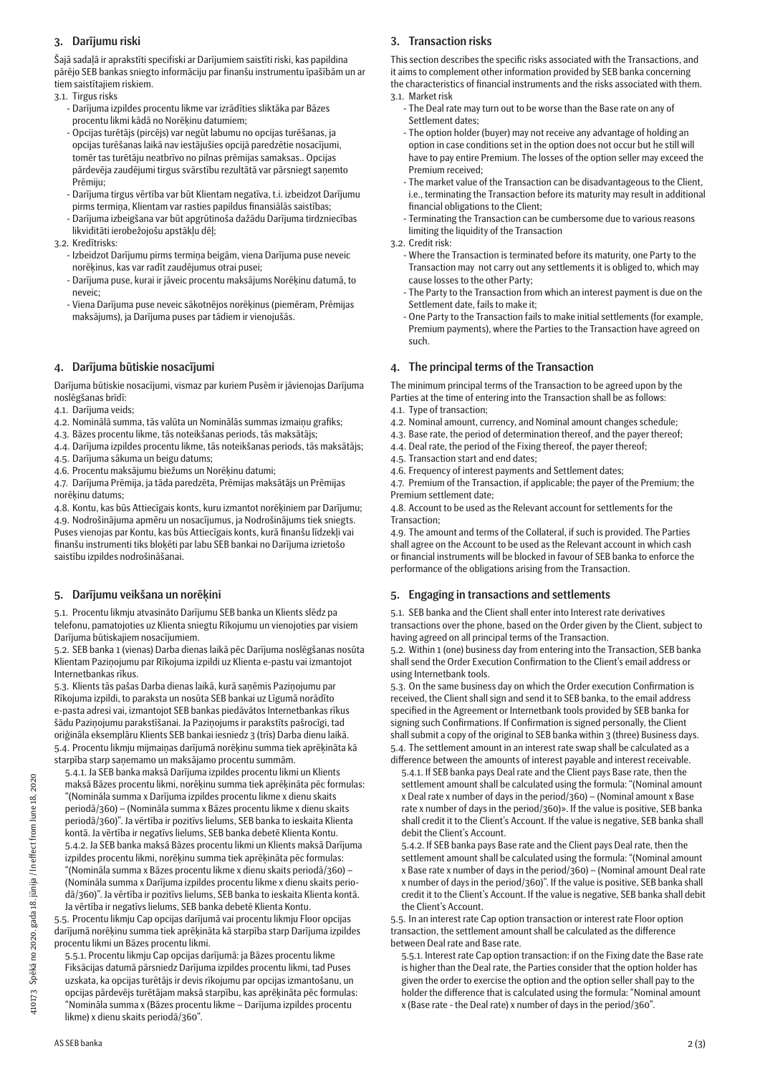#### 3. Darījumu riski

Šajā sadaļā ir aprakstīti specifiski ar Darījumiem saistīti riski, kas papildina pārējo SEB bankas sniegto informāciju par finanšu instrumentu īpašībām un ar tiem saistītajiem riskiem.

#### 3.1. Tirgus risks

- Darījuma izpildes procentu likme var izrādīties sliktāka par Bāzes procentu likmi kādā no Norēķinu datumiem;
- Opcijas turētājs (pircējs) var negūt labumu no opcijas turēšanas, ja opcijas turēšanas laikā nav iestājušies opcijā paredzētie nosacījumi, tomēr tas turētāju neatbrīvo no pilnas prēmijas samaksas.. Opcijas pārdevēja zaudējumi tirgus svārstību rezultātā var pārsniegt saņemto Prēmiju;
- Darījuma tirgus vērtība var būt Klientam negatīva, t.i. izbeidzot Darījumu pirms termiņa, Klientam var rasties papildus finansiālās saistības;
- Darījuma izbeigšana var būt apgrūtinoša dažādu Darījuma tirdzniecības likviditāti ierobežojošu apstākļu dēļ;
- 3.2. Kredītrisks:
	- Izbeidzot Darījumu pirms termiņa beigām, viena Darījuma puse neveic norēķinus, kas var radīt zaudējumus otrai pusei;
	- Darījuma puse, kurai ir jāveic procentu maksājums Norēķinu datumā, to neveic;
	- Viena Darījuma puse neveic sākotnējos norēķinus (piemēram, Prēmijas maksājums), ja Darījuma puses par tādiem ir vienojušās.

#### 4. Darījuma būtiskie nosacījumi

Darījuma būtiskie nosacījumi, vismaz par kuriem Pusēm ir jāvienojas Darījuma noslēgšanas brīdī:

- 4.1. Darījuma veids;
- 4.2. Nominālā summa, tās valūta un Nominālās summas izmaiņu grafiks;
- 4.3. Bāzes procentu likme, tās noteikšanas periods, tās maksātājs;
- 4.4. Darījuma izpildes procentu likme, tās noteikšanas periods, tās maksātājs; 4.5. Darījuma sākuma un beigu datums;
- 4.6. Procentu maksājumu biežums un Norēķinu datumi;

4.7. Darījuma Prēmija, ja tāda paredzēta, Prēmijas maksātājs un Prēmijas norēķinu datums;

4.8. Kontu, kas būs Attiecīgais konts, kuru izmantot norēķiniem par Darījumu; 4.9. Nodrošinājuma apmēru un nosacījumus, ja Nodrošinājums tiek sniegts. Puses vienojas par Kontu, kas būs Attiecīgais konts, kurā finanšu līdzekļi vai finanšu instrumenti tiks bloķēti par labu SEB bankai no Darījuma izrietošo saistību izpildes nodrošināšanai.

#### 5. Darījumu veikšana un norēķini

5.1. Procentu likmju atvasināto Darījumu SEB banka un Klients slēdz pa telefonu, pamatojoties uz Klienta sniegtu Rīkojumu un vienojoties par visiem Darījuma būtiskajiem nosacījumiem.

5.2. SEB banka 1 (vienas) Darba dienas laikā pēc Darījuma noslēgšanas nosūta Klientam Paziņojumu par Rīkojuma izpildi uz Klienta e-pastu vai izmantojot Internetbankas rīkus.

5.3. Klients tās pašas Darba dienas laikā, kurā saņēmis Paziņojumu par Rīkojuma izpildi, to paraksta un nosūta SEB bankai uz Līgumā norādīto e-pasta adresi vai, izmantojot SEB bankas piedāvātos Internetbankas rīkus šādu Paziņojumu parakstīšanai. Ja Paziņojums ir parakstīts pašrocīgi, tad oriģināla eksemplāru Klients SEB bankai iesniedz 3 (trīs) Darba dienu laikā. 5.4. Procentu likmju mijmaiņas darījumā norēķinu summa tiek aprēķināta kā starpība starp saņemamo un maksājamo procentu summām.

5.4.1. Ja SEB banka maksā Darījuma izpildes procentu likmi un Klients maksā Bāzes procentu likmi, norēķinu summa tiek aprēķināta pēc formulas: "(Nomināla summa x Darījuma izpildes procentu likme x dienu skaits periodā/360) – (Nomināla summa x Bāzes procentu likme x dienu skaits periodā/360)". Ja vērtība ir pozitīvs lielums, SEB banka to ieskaita Klienta kontā. Ja vērtība ir negatīvs lielums, SEB banka debetē Klienta Kontu. 5.4.2. Ja SEB banka maksā Bāzes procentu likmi un Klients maksā Darījuma izpildes procentu likmi, norēķinu summa tiek aprēķināta pēc formulas: "(Nomināla summa x Bāzes procentu likme x dienu skaits periodā/360) – (Nomināla summa x Darījuma izpildes procentu likme x dienu skaits periodā/360)". Ja vērtība ir pozitīvs lielums, SEB banka to ieskaita Klienta kontā. Ja vērtība ir negatīvs lielums, SEB banka debetē Klienta Kontu.

5.5. Procentu likmju Cap opcijas darījumā vai procentu likmju Floor opcijas darījumā norēķinu summa tiek aprēķināta kā starpība starp Darījuma izpildes procentu likmi un Bāzes procentu likmi.

5.5.1. Procentu likmju Cap opcijas darījumā: ja Bāzes procentu likme Fiksācijas datumā pārsniedz Darījuma izpildes procentu likmi, tad Puses uzskata, ka opcijas turētājs ir devis rīkojumu par opcijas izmantošanu, un opcijas pārdevējs turētājam maksā starpību, kas aprēķināta pēc formulas: "Nomināla summa x (Bāzes procentu likme – Darījuma izpildes procentu likme) x dienu skaits periodā/360".

#### 3. Transaction risks

This section describes the specific risks associated with the Transactions, and it aims to complement other information provided by SEB banka concerning the characteristics of financial instruments and the risks associated with them. 3.1. Market risk

- The Deal rate may turn out to be worse than the Base rate on any of Settlement dates;
- The option holder (buyer) may not receive any advantage of holding an option in case conditions set in the option does not occur but he still will have to pay entire Premium. The losses of the option seller may exceed the Premium received;
- The market value of the Transaction can be disadvantageous to the Client, i.e., terminating the Transaction before its maturity may result in additional financial obligations to the Client;
- Terminating the Transaction can be cumbersome due to various reasons limiting the liquidity of the Transaction
- 3.2. Credit risk:
	- Where the Transaction is terminated before its maturity, one Party to the Transaction may not carry out any settlements it is obliged to, which may cause losses to the other Party;
	- The Party to the Transaction from which an interest payment is due on the Settlement date, fails to make it;
	- One Party to the Transaction fails to make initial settlements (for example, Premium payments), where the Parties to the Transaction have agreed on such.

#### 4. The principal terms of the Transaction

The minimum principal terms of the Transaction to be agreed upon by the Parties at the time of entering into the Transaction shall be as follows:

- 4.1. Type of transaction;
- 4.2. Nominal amount, currency, and Nominal amount changes schedule;
- 4.3. Base rate, the period of determination thereof, and the payer thereof;
- 4.4. Deal rate, the period of the Fixing thereof, the payer thereof;
- 4.5. Transaction start and end dates;
- 4.6. Frequency of interest payments and Settlement dates;

4.7. Premium of the Transaction, if applicable; the payer of the Premium; the Premium settlement date;

4.8. Account to be used as the Relevant account for settlements for the Transaction;

4.9. The amount and terms of the Collateral, if such is provided. The Parties shall agree on the Account to be used as the Relevant account in which cash or financial instruments will be blocked in favour of SEB banka to enforce the performance of the obligations arising from the Transaction.

#### 5. Engaging in transactions and settlements

5.1. SEB banka and the Client shall enter into Interest rate derivatives transactions over the phone, based on the Order given by the Client, subject to having agreed on all principal terms of the Transaction.

5.2. Within 1 (one) business day from entering into the Transaction, SEB banka shall send the Order Execution Confirmation to the Client's email address or using Internetbank tools.

5.3. On the same business day on which the Order execution Confirmation is received, the Client shall sign and send it to SEB banka, to the email address specified in the Agreement or Internetbank tools provided by SEB banka for signing such Confirmations. If Confirmation is signed personally, the Client shall submit a copy of the original to SEB banka within 3 (three) Business days. 5.4. The settlement amount in an interest rate swap shall be calculated as a difference between the amounts of interest payable and interest receivable.

5.4.1. If SEB banka pays Deal rate and the Client pays Base rate, then the settlement amount shall be calculated using the formula: "(Nominal amount x Deal rate x number of days in the period/360) – (Nominal amount x Base rate x number of days in the period/360)». If the value is positive, SEB banka shall credit it to the Client's Account. If the value is negative, SEB banka shall debit the Client's Account.

5.4.2. If SEB banka pays Base rate and the Client pays Deal rate, then the settlement amount shall be calculated using the formula: "(Nominal amount x Base rate x number of days in the period/360) – (Nominal amount Deal rate x number of days in the period/360)". If the value is positive, SEB banka shall credit it to the Client's Account. If the value is negative, SEB banka shall debit the Client's Account.

5.5. In an interest rate Cap option transaction or interest rate Floor option transaction, the settlement amount shall be calculated as the difference between Deal rate and Base rate.

5.5.1. Interest rate Cap option transaction: if on the Fixing date the Base rate is higher than the Deal rate, the Parties consider that the option holder has given the order to exercise the option and the option seller shall pay to the holder the difference that is calculated using the formula: "Nominal amount x (Base rate - the Deal rate) x number of days in the period/360".